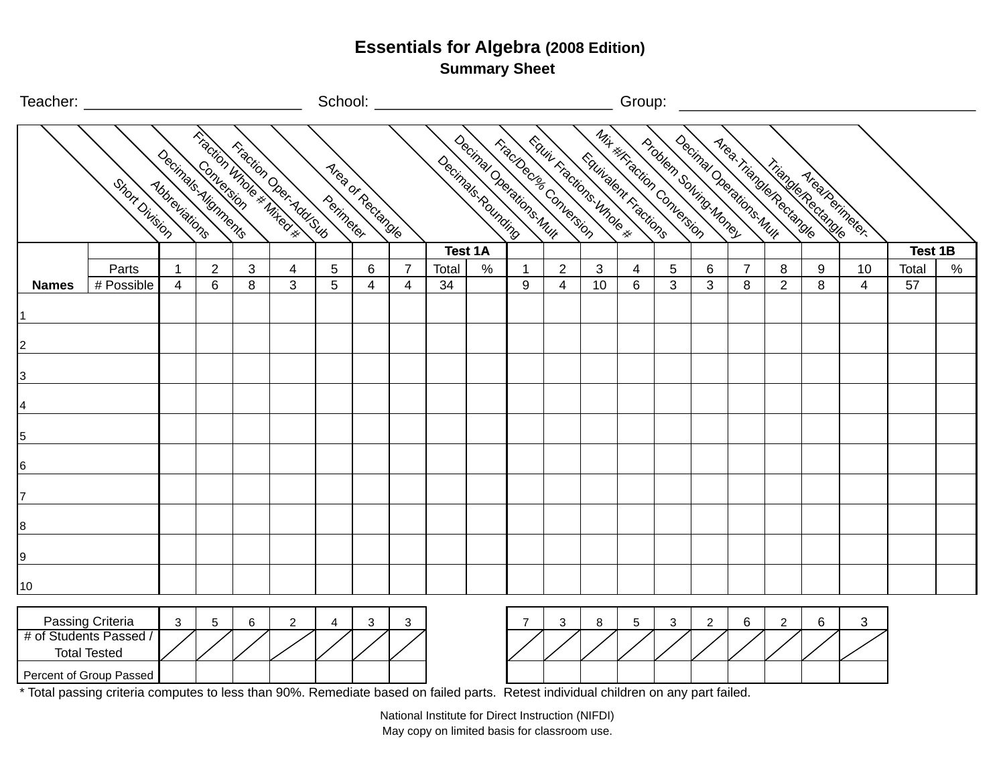**Summary Sheet**

|                                                                                                                                                                                                                                  | Teacher: __________                                                                          |                                             |                |   |                                                                                                                                                                                                                                                                                                                    |            | School: _            |                |                   |                |                                                 |                |                                                  | Group:         |                                                  |                                                   |                                                    |                |                    |                |                |      |
|----------------------------------------------------------------------------------------------------------------------------------------------------------------------------------------------------------------------------------|----------------------------------------------------------------------------------------------|---------------------------------------------|----------------|---|--------------------------------------------------------------------------------------------------------------------------------------------------------------------------------------------------------------------------------------------------------------------------------------------------------------------|------------|----------------------|----------------|-------------------|----------------|-------------------------------------------------|----------------|--------------------------------------------------|----------------|--------------------------------------------------|---------------------------------------------------|----------------------------------------------------|----------------|--------------------|----------------|----------------|------|
|                                                                                                                                                                                                                                  | Short Division                                                                               | Decimals Alignments<br><b>Abbreviations</b> |                |   | Triadion under # Mike or #<br>Fraction Oper Add Sub-                                                                                                                                                                                                                                                               | Perimerer  | Mread of Rectangular |                | Decimals Rounding |                | Decimal Decrations Mult<br>Triadogue Conversion |                | Equiv Factions Introde *<br>Equivalent Fractions |                | Mix # Friday Conversion<br>Problem Solving Money |                                                   | Decimal Decritines Mult<br>Mrea. Triangle Rectange |                | Triangle Rectangle | Mreaderingers. |                |      |
|                                                                                                                                                                                                                                  |                                                                                              |                                             |                |   |                                                                                                                                                                                                                                                                                                                    |            |                      |                |                   | <b>Test 1A</b> |                                                 |                |                                                  |                |                                                  |                                                   |                                                    |                |                    |                | <b>Test 1B</b> |      |
|                                                                                                                                                                                                                                  | Parts                                                                                        | $\mathbf{1}$                                | $\overline{2}$ | 3 | 4                                                                                                                                                                                                                                                                                                                  | $\sqrt{5}$ | 6                    | $\overline{7}$ | Total             | $\%$           | $\mathbf{1}$                                    | $\overline{2}$ | 3                                                | $\overline{4}$ | 5                                                | 6                                                 | $\overline{7}$                                     | 8              | 9                  | 10             | Total          | $\%$ |
| <b>Names</b>                                                                                                                                                                                                                     | # Possible                                                                                   | 4                                           | 6              | 8 | 3                                                                                                                                                                                                                                                                                                                  | 5          | 4                    | 4              | 34                |                | 9                                               | $\overline{4}$ | 10                                               | 6              | 3                                                | 3                                                 | 8                                                  | $\overline{2}$ | 8                  | 4              | 57             |      |
| 1                                                                                                                                                                                                                                |                                                                                              |                                             |                |   |                                                                                                                                                                                                                                                                                                                    |            |                      |                |                   |                |                                                 |                |                                                  |                |                                                  |                                                   |                                                    |                |                    |                |                |      |
| $\vert$ 2                                                                                                                                                                                                                        |                                                                                              |                                             |                |   |                                                                                                                                                                                                                                                                                                                    |            |                      |                |                   |                |                                                 |                |                                                  |                |                                                  |                                                   |                                                    |                |                    |                |                |      |
|                                                                                                                                                                                                                                  |                                                                                              |                                             |                |   |                                                                                                                                                                                                                                                                                                                    |            |                      |                |                   |                |                                                 |                |                                                  |                |                                                  |                                                   |                                                    |                |                    |                |                |      |
| $\overline{3}$                                                                                                                                                                                                                   |                                                                                              |                                             |                |   |                                                                                                                                                                                                                                                                                                                    |            |                      |                |                   |                |                                                 |                |                                                  |                |                                                  |                                                   |                                                    |                |                    |                |                |      |
| 4                                                                                                                                                                                                                                |                                                                                              |                                             |                |   |                                                                                                                                                                                                                                                                                                                    |            |                      |                |                   |                |                                                 |                |                                                  |                |                                                  |                                                   |                                                    |                |                    |                |                |      |
| $\overline{5}$                                                                                                                                                                                                                   |                                                                                              |                                             |                |   |                                                                                                                                                                                                                                                                                                                    |            |                      |                |                   |                |                                                 |                |                                                  |                |                                                  |                                                   |                                                    |                |                    |                |                |      |
| 6                                                                                                                                                                                                                                |                                                                                              |                                             |                |   |                                                                                                                                                                                                                                                                                                                    |            |                      |                |                   |                |                                                 |                |                                                  |                |                                                  |                                                   |                                                    |                |                    |                |                |      |
|                                                                                                                                                                                                                                  |                                                                                              |                                             |                |   |                                                                                                                                                                                                                                                                                                                    |            |                      |                |                   |                |                                                 |                |                                                  |                |                                                  |                                                   |                                                    |                |                    |                |                |      |
| 7                                                                                                                                                                                                                                |                                                                                              |                                             |                |   |                                                                                                                                                                                                                                                                                                                    |            |                      |                |                   |                |                                                 |                |                                                  |                |                                                  |                                                   |                                                    |                |                    |                |                |      |
| 8                                                                                                                                                                                                                                |                                                                                              |                                             |                |   |                                                                                                                                                                                                                                                                                                                    |            |                      |                |                   |                |                                                 |                |                                                  |                |                                                  |                                                   |                                                    |                |                    |                |                |      |
| 9                                                                                                                                                                                                                                |                                                                                              |                                             |                |   |                                                                                                                                                                                                                                                                                                                    |            |                      |                |                   |                |                                                 |                |                                                  |                |                                                  |                                                   |                                                    |                |                    |                |                |      |
| 10                                                                                                                                                                                                                               |                                                                                              |                                             |                |   |                                                                                                                                                                                                                                                                                                                    |            |                      |                |                   |                |                                                 |                |                                                  |                |                                                  |                                                   |                                                    |                |                    |                |                |      |
| $\frac{1}{2}$ . The set of the set of the set of the set of the set of the set of the set of the set of the set of the set of the set of the set of the set of the set of the set of the set of the set of the set of the set of | Passing Criteria<br># of Students Passed /<br><b>Total Tested</b><br>Percent of Group Passed | $\sqrt{3}$                                  | 5              | 6 | $\overline{c}$<br>$\mathbf{r}$ and $\mathbf{r}$ and $\mathbf{r}$ and $\mathbf{r}$ and $\mathbf{r}$ and $\mathbf{r}$ and $\mathbf{r}$ and $\mathbf{r}$ and $\mathbf{r}$ and $\mathbf{r}$ and $\mathbf{r}$ and $\mathbf{r}$ and $\mathbf{r}$ and $\mathbf{r}$ and $\mathbf{r}$ and $\mathbf{r}$ and $\mathbf{r}$ and | 4          | 3                    | 3              |                   |                | .                                               | 3              | 8                                                | $\sqrt{5}$     | 3                                                | $\overline{2}$<br><b><i>Contract Contract</i></b> | 6                                                  | $\overline{2}$ | 6                  | 3              |                |      |

Total passing criteria computes to less than 90%. Remediate based on failed parts. Retest individual children on any part failed.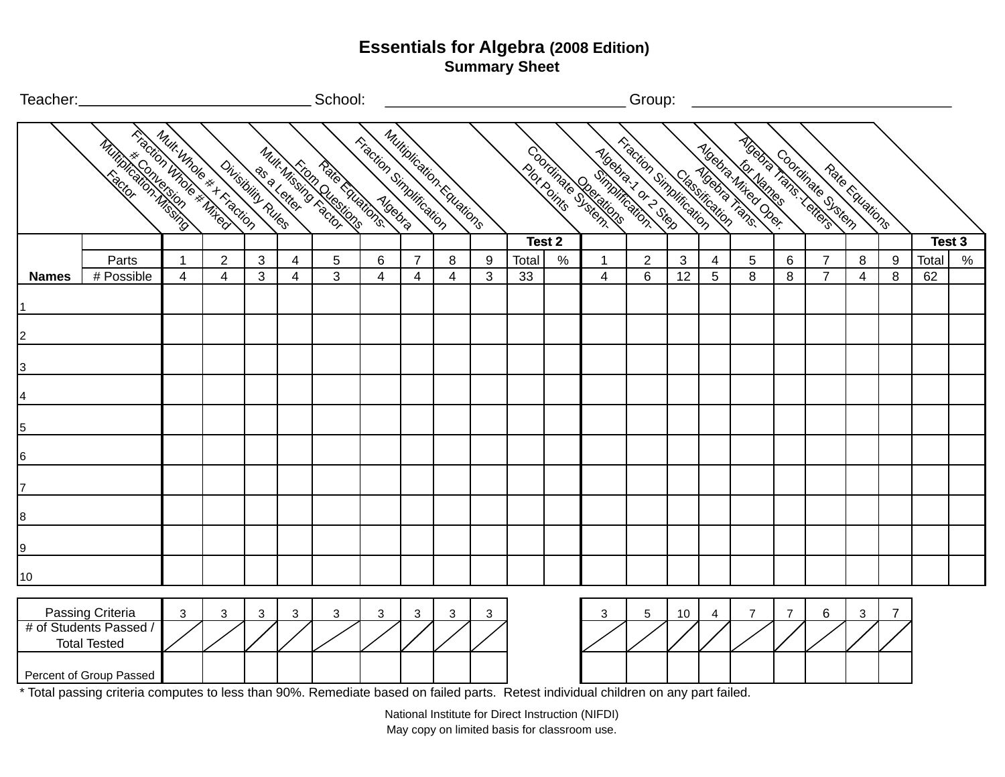| Teacher:_      |                                                           |              |                                                |   |   | School:                                          |                                |                |                           |   |       |        |                                                  | Group:         |    |   |                                                                                             |   |                                      |   |   |       |        |
|----------------|-----------------------------------------------------------|--------------|------------------------------------------------|---|---|--------------------------------------------------|--------------------------------|----------------|---------------------------|---|-------|--------|--------------------------------------------------|----------------|----|---|---------------------------------------------------------------------------------------------|---|--------------------------------------|---|---|-------|--------|
|                | <b>Krightin Mhole # Mires</b><br><b>Milliple Sciences</b> |              | Multi Whole * + FireClop<br>Divisibility Rules |   |   | Mult Missils Questions<br><b>Ratio Editions.</b> | <b>Fraction Simplification</b> |                | Multiplication: Equations |   |       |        | Mitation Singles Leading<br>Coordinate Registing |                |    |   | <b>Moding Your Charles Comments of Charles Comments</b><br>Moobia Miked Ocer<br>ATOBTA TONS |   | Condition of stem<br>Rate Educations |   |   |       |        |
|                |                                                           |              |                                                |   |   |                                                  |                                |                |                           |   |       | Test 2 |                                                  |                |    |   |                                                                                             |   |                                      |   |   |       | Test 3 |
|                | Parts                                                     | $\mathbf{1}$ | $\overline{2}$                                 | 3 | 4 | 5                                                | 6                              | $\overline{7}$ | 8                         | 9 | Total | $\%$   | 1                                                | $\overline{2}$ | 3  | 4 | 5                                                                                           | 6 | $\overline{7}$                       | 8 | 9 | Total | $\%$   |
| <b>Names</b>   | # Possible                                                | 4            | $\overline{4}$                                 | 3 | 4 | 3                                                | $\overline{4}$                 | $\overline{4}$ | 4                         | 3 | 33    |        | $\overline{4}$                                   | 6              | 12 | 5 | 8                                                                                           | 8 | $\overline{7}$                       | 4 | 8 | 62    |        |
|                |                                                           |              |                                                |   |   |                                                  |                                |                |                           |   |       |        |                                                  |                |    |   |                                                                                             |   |                                      |   |   |       |        |
| $\overline{2}$ |                                                           |              |                                                |   |   |                                                  |                                |                |                           |   |       |        |                                                  |                |    |   |                                                                                             |   |                                      |   |   |       |        |
| 3              |                                                           |              |                                                |   |   |                                                  |                                |                |                           |   |       |        |                                                  |                |    |   |                                                                                             |   |                                      |   |   |       |        |
| 4              |                                                           |              |                                                |   |   |                                                  |                                |                |                           |   |       |        |                                                  |                |    |   |                                                                                             |   |                                      |   |   |       |        |
| 5              |                                                           |              |                                                |   |   |                                                  |                                |                |                           |   |       |        |                                                  |                |    |   |                                                                                             |   |                                      |   |   |       |        |
| 6              |                                                           |              |                                                |   |   |                                                  |                                |                |                           |   |       |        |                                                  |                |    |   |                                                                                             |   |                                      |   |   |       |        |
|                |                                                           |              |                                                |   |   |                                                  |                                |                |                           |   |       |        |                                                  |                |    |   |                                                                                             |   |                                      |   |   |       |        |
| 8              |                                                           |              |                                                |   |   |                                                  |                                |                |                           |   |       |        |                                                  |                |    |   |                                                                                             |   |                                      |   |   |       |        |
| 9              |                                                           |              |                                                |   |   |                                                  |                                |                |                           |   |       |        |                                                  |                |    |   |                                                                                             |   |                                      |   |   |       |        |
| 10             |                                                           |              |                                                |   |   |                                                  |                                |                |                           |   |       |        |                                                  |                |    |   |                                                                                             |   |                                      |   |   |       |        |
|                | Passing Criteria                                          | 3            | 3                                              | 3 | 3 | 3                                                | 3                              | 3              | 3                         | 3 |       |        | 3                                                | 5              | 10 | 4 |                                                                                             | 7 | 6                                    | 3 | 7 |       |        |
|                | # of Students Passed /<br><b>Total Tested</b>             |              |                                                |   |   |                                                  |                                |                |                           |   |       |        |                                                  |                |    |   |                                                                                             |   |                                      |   |   |       |        |
|                | Percent of Group Passed                                   |              |                                                |   |   |                                                  |                                |                |                           |   |       |        |                                                  |                |    |   |                                                                                             |   |                                      |   |   |       |        |

\* Total passing criteria computes to less than 90%. Remediate based on failed parts. Retest individual children on any part failed.

May copy on limited basis for classroom use. National Institute for Direct Instruction (NIFDI)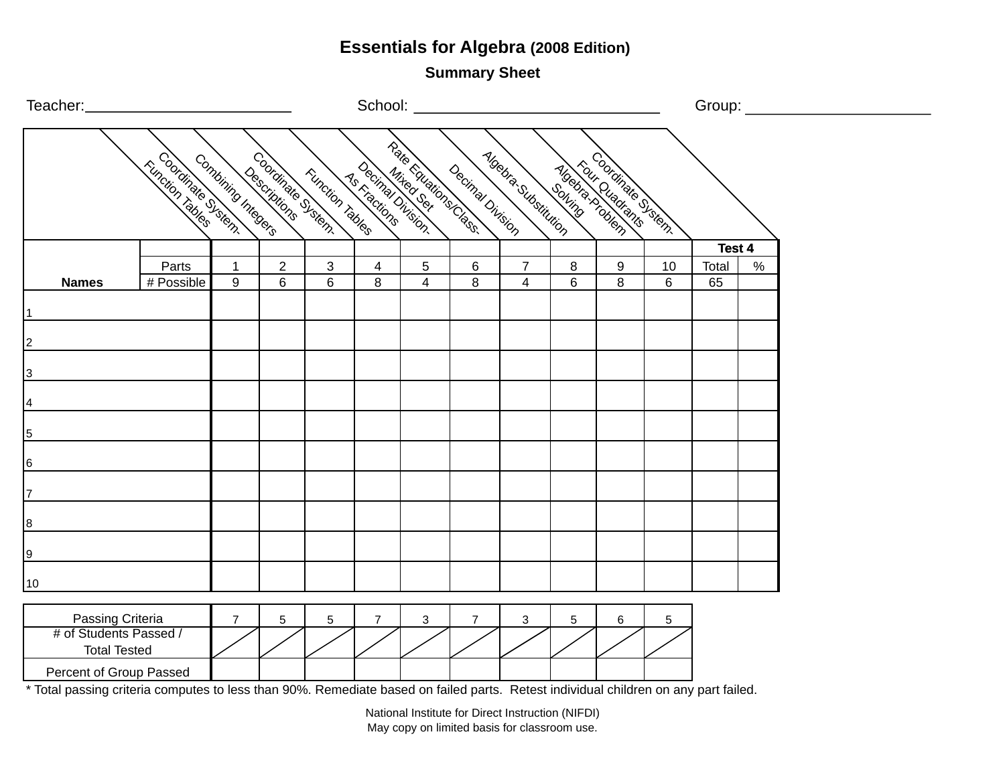**Summary Sheet**

| Teacher:_       |                                            |                            |                    |                           |                                       |                          |                     |                  |                                  |              |                                    |         | Group: ___________ |      |  |  |
|-----------------|--------------------------------------------|----------------------------|--------------------|---------------------------|---------------------------------------|--------------------------|---------------------|------------------|----------------------------------|--------------|------------------------------------|---------|--------------------|------|--|--|
|                 |                                            | <b>Kunction also Surem</b> | Combining Integers |                           | Coditions district<br>Function Tables | 1 <sub>5 Kractions</sub> | Realis Eugening     | Decimal Division | <b>Algebra Substitution</b>      |              | <b>Algebraic District Stranger</b> |         |                    |      |  |  |
|                 |                                            |                            |                    |                           |                                       |                          |                     |                  |                                  |              |                                    |         | Test 4             |      |  |  |
|                 | <b>Names</b>                               | Parts<br># Possible        | $\mathbf{1}$<br>9  | $\overline{2}$<br>$\,6\,$ | $\mathbf{3}$<br>6                     | $\overline{4}$<br>8      | 5<br>$\overline{4}$ | $\,6\,$<br>8     | $\overline{7}$<br>$\overline{4}$ | $\bf 8$<br>6 | 9<br>8                             | 10<br>6 | Total<br>65        | $\%$ |  |  |
|                 |                                            |                            |                    |                           |                                       |                          |                     |                  |                                  |              |                                    |         |                    |      |  |  |
|                 |                                            |                            |                    |                           |                                       |                          |                     |                  |                                  |              |                                    |         |                    |      |  |  |
| $\overline{2}$  |                                            |                            |                    |                           |                                       |                          |                     |                  |                                  |              |                                    |         |                    |      |  |  |
| $\overline{3}$  |                                            |                            |                    |                           |                                       |                          |                     |                  |                                  |              |                                    |         |                    |      |  |  |
| $\overline{4}$  |                                            |                            |                    |                           |                                       |                          |                     |                  |                                  |              |                                    |         |                    |      |  |  |
| $\overline{5}$  |                                            |                            |                    |                           |                                       |                          |                     |                  |                                  |              |                                    |         |                    |      |  |  |
| $6\phantom{.0}$ |                                            |                            |                    |                           |                                       |                          |                     |                  |                                  |              |                                    |         |                    |      |  |  |
| $\overline{7}$  |                                            |                            |                    |                           |                                       |                          |                     |                  |                                  |              |                                    |         |                    |      |  |  |
| 8 <sup>1</sup>  |                                            |                            |                    |                           |                                       |                          |                     |                  |                                  |              |                                    |         |                    |      |  |  |
| 9               |                                            |                            |                    |                           |                                       |                          |                     |                  |                                  |              |                                    |         |                    |      |  |  |
| $10$            |                                            |                            |                    |                           |                                       |                          |                     |                  |                                  |              |                                    |         |                    |      |  |  |
|                 |                                            |                            |                    |                           |                                       |                          |                     |                  |                                  |              |                                    |         |                    |      |  |  |
|                 | Passing Criteria<br># of Students Passed / |                            | $\overline{7}$     | $\sqrt{5}$                | $5\phantom{.0}$                       | $\overline{7}$           | 3                   | $\overline{7}$   | $\mathbf{3}$                     | $\sqrt{5}$   | 6                                  | 5       |                    |      |  |  |
|                 | <b>Total Tested</b>                        |                            |                    |                           |                                       |                          |                     |                  |                                  |              |                                    |         |                    |      |  |  |
|                 | Percent of Group Passed                    |                            |                    |                           |                                       |                          |                     |                  |                                  |              |                                    |         |                    |      |  |  |

\* Total passing criteria computes to less than 90%. Remediate based on failed parts. Retest individual children on any part failed.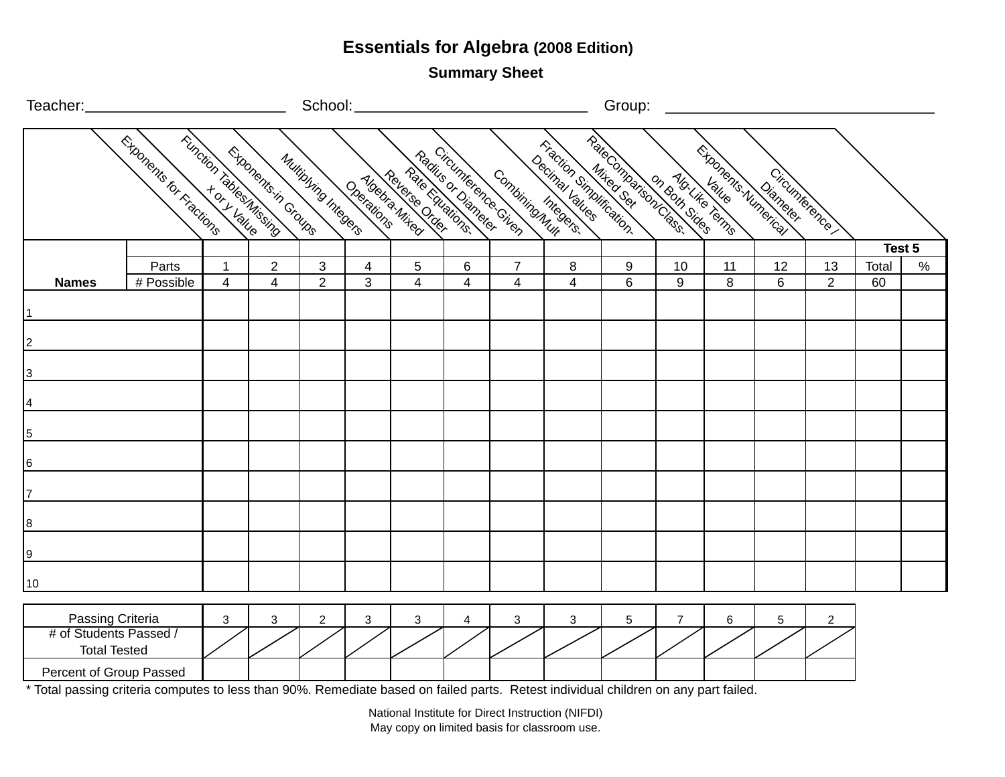**Summary Sheet**

| Teacher:_                                                         |                            |                                |                                                 | School:              |            |                                    |                              |                                           |                                                                                                                                                                                                                                      | Group: |                |                           |                      |                      |             |        |
|-------------------------------------------------------------------|----------------------------|--------------------------------|-------------------------------------------------|----------------------|------------|------------------------------------|------------------------------|-------------------------------------------|--------------------------------------------------------------------------------------------------------------------------------------------------------------------------------------------------------------------------------------|--------|----------------|---------------------------|----------------------|----------------------|-------------|--------|
|                                                                   | T. Exponents for Fractions |                                | Trunction rabbes Mission<br>Exponents in Groups | Multiplying Integers | Operations | Pate coulations.<br>Moebis Mixedia |                              | Radicuménecies<br>Combining megers.       | <b>Trigginal Microsoft of California Nine American Service Science Service Nine Service Science Nine Service Nine Service Service Nine Service Nine Service Service Nine Service Nine Service Nine Service Nine Service Nine Ser</b> |        |                | <b>Exponents Numeries</b> | Circumference        |                      |             |        |
|                                                                   |                            |                                |                                                 |                      |            |                                    |                              |                                           |                                                                                                                                                                                                                                      |        |                |                           |                      |                      |             | Test 5 |
| <b>Names</b>                                                      | Parts<br># Possible        | $\mathbf{1}$<br>$\overline{4}$ | $\overline{2}$<br>$\overline{4}$                | 3<br>$\overline{2}$  | 4<br>3     | 5<br>$\overline{\mathbf{4}}$       | 6<br>$\overline{\mathbf{4}}$ | $\overline{7}$<br>$\overline{\mathbf{4}}$ | 8<br>$\overline{\mathbf{4}}$                                                                                                                                                                                                         | 9<br>6 | 10<br>9        | 11<br>8                   | 12<br>$6\phantom{1}$ | 13<br>$\overline{2}$ | Total<br>60 | $\%$   |
| $\overline{1}$                                                    |                            |                                |                                                 |                      |            |                                    |                              |                                           |                                                                                                                                                                                                                                      |        |                |                           |                      |                      |             |        |
| $\overline{2}$                                                    |                            |                                |                                                 |                      |            |                                    |                              |                                           |                                                                                                                                                                                                                                      |        |                |                           |                      |                      |             |        |
| $\overline{3}$                                                    |                            |                                |                                                 |                      |            |                                    |                              |                                           |                                                                                                                                                                                                                                      |        |                |                           |                      |                      |             |        |
| $\frac{4}{1}$                                                     |                            |                                |                                                 |                      |            |                                    |                              |                                           |                                                                                                                                                                                                                                      |        |                |                           |                      |                      |             |        |
| $\frac{5}{2}$                                                     |                            |                                |                                                 |                      |            |                                    |                              |                                           |                                                                                                                                                                                                                                      |        |                |                           |                      |                      |             |        |
| $\frac{6}{2}$                                                     |                            |                                |                                                 |                      |            |                                    |                              |                                           |                                                                                                                                                                                                                                      |        |                |                           |                      |                      |             |        |
| $\overline{z}$                                                    |                            |                                |                                                 |                      |            |                                    |                              |                                           |                                                                                                                                                                                                                                      |        |                |                           |                      |                      |             |        |
| $\overline{ }$                                                    |                            |                                |                                                 |                      |            |                                    |                              |                                           |                                                                                                                                                                                                                                      |        |                |                           |                      |                      |             |        |
| $\frac{9}{2}$                                                     |                            |                                |                                                 |                      |            |                                    |                              |                                           |                                                                                                                                                                                                                                      |        |                |                           |                      |                      |             |        |
| 10                                                                |                            |                                |                                                 |                      |            |                                    |                              |                                           |                                                                                                                                                                                                                                      |        |                |                           |                      |                      |             |        |
| Passing Criteria<br># of Students Passed /<br><b>Total Tested</b> |                            | $\mathbf{3}$                   | $\mathbf{3}$                                    | $\overline{2}$       | 3          | 3                                  | 4                            | 3                                         | $\mathbf{3}$                                                                                                                                                                                                                         | 5      | $\overline{7}$ | 6                         | 5                    | $\overline{c}$       |             |        |
| Percent of Group Passed                                           |                            |                                |                                                 |                      |            |                                    |                              |                                           |                                                                                                                                                                                                                                      |        |                |                           |                      |                      |             |        |

\* Total passing criteria computes to less than 90%. Remediate based on failed parts. Retest individual children on any part failed.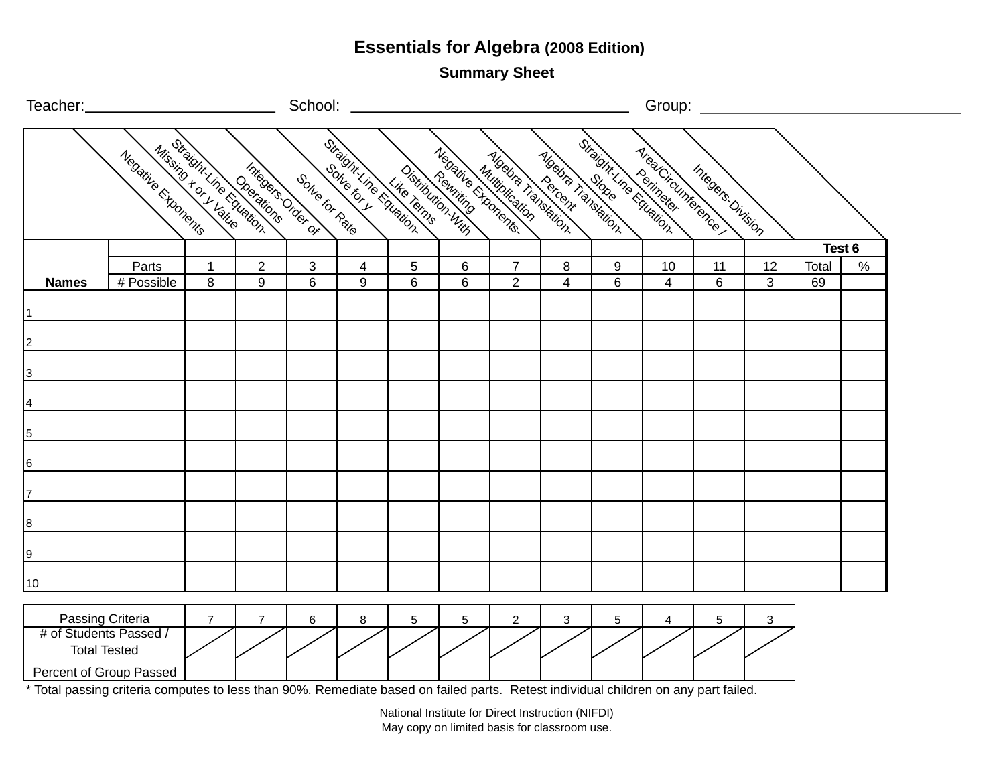**Summary Sheet**

| Teacher:__             |                         |                |                                                 | School:                     |                |            |   |                                                                                                                                                                                                                                |                                    |          |                                                     | Group: ____________ |                |       |        |  |
|------------------------|-------------------------|----------------|-------------------------------------------------|-----------------------------|----------------|------------|---|--------------------------------------------------------------------------------------------------------------------------------------------------------------------------------------------------------------------------------|------------------------------------|----------|-----------------------------------------------------|---------------------|----------------|-------|--------|--|
|                        | Negative Exponents      |                | Mission it Line Coerations<br>Integers Order of | Son <sub>te for Raile</sub> |                |            |   | director in a club television with a filled the control of the control of the control of the control of the control of the control of the control of the control of the control of the control of the control of the control o | <b>Algebra Tanslation.</b>         |          | Straight Line Equation<br><b>Area Circumference</b> | Integers Division   |                |       |        |  |
|                        |                         |                |                                                 |                             |                |            |   |                                                                                                                                                                                                                                |                                    |          |                                                     |                     |                |       | Test 6 |  |
|                        | Parts                   | $\mathbf{1}$   | $\overline{2}$                                  | $\mathfrak{B}$              | $\overline{4}$ | $\sqrt{5}$ | 6 | $\overline{7}$                                                                                                                                                                                                                 | 8                                  | 9        | 10                                                  | 11                  | 12             | Total | $\%$   |  |
| <b>Names</b>           | # Possible              | 8              | 9                                               | $6\,$                       | 9              | 6          | 6 | $\overline{2}$                                                                                                                                                                                                                 | $\overline{4}$                     | 6        | $\overline{\mathbf{4}}$                             | $6\phantom{a}$      | $\overline{3}$ | 69    |        |  |
| 1                      |                         |                |                                                 |                             |                |            |   |                                                                                                                                                                                                                                |                                    |          |                                                     |                     |                |       |        |  |
| $\vert$ 2              |                         |                |                                                 |                             |                |            |   |                                                                                                                                                                                                                                |                                    |          |                                                     |                     |                |       |        |  |
|                        |                         |                |                                                 |                             |                |            |   |                                                                                                                                                                                                                                |                                    |          |                                                     |                     |                |       |        |  |
| $\overline{3}$         |                         |                |                                                 |                             |                |            |   |                                                                                                                                                                                                                                |                                    |          |                                                     |                     |                |       |        |  |
| $\overline{4}$         |                         |                |                                                 |                             |                |            |   |                                                                                                                                                                                                                                |                                    |          |                                                     |                     |                |       |        |  |
|                        |                         |                |                                                 |                             |                |            |   |                                                                                                                                                                                                                                |                                    |          |                                                     |                     |                |       |        |  |
| $\overline{5}$         |                         |                |                                                 |                             |                |            |   |                                                                                                                                                                                                                                |                                    |          |                                                     |                     |                |       |        |  |
| 6                      |                         |                |                                                 |                             |                |            |   |                                                                                                                                                                                                                                |                                    |          |                                                     |                     |                |       |        |  |
| 7                      |                         |                |                                                 |                             |                |            |   |                                                                                                                                                                                                                                |                                    |          |                                                     |                     |                |       |        |  |
|                        |                         |                |                                                 |                             |                |            |   |                                                                                                                                                                                                                                |                                    |          |                                                     |                     |                |       |        |  |
| $^{\underline{8}}$     |                         |                |                                                 |                             |                |            |   |                                                                                                                                                                                                                                |                                    |          |                                                     |                     |                |       |        |  |
|                        |                         |                |                                                 |                             |                |            |   |                                                                                                                                                                                                                                |                                    |          |                                                     |                     |                |       |        |  |
| 10                     |                         |                |                                                 |                             |                |            |   |                                                                                                                                                                                                                                |                                    |          |                                                     |                     |                |       |        |  |
| Passing Criteria       |                         | $\overline{7}$ | $\overline{7}$                                  | 6                           | 8              | 5          | 5 | $\overline{2}$                                                                                                                                                                                                                 | 3                                  | 5        | 4                                                   | 5                   | 3              |       |        |  |
| # of Students Passed / |                         |                |                                                 |                             |                |            |   |                                                                                                                                                                                                                                |                                    |          |                                                     |                     |                |       |        |  |
|                        | <b>Total Tested</b>     |                |                                                 |                             |                |            |   |                                                                                                                                                                                                                                |                                    |          |                                                     |                     |                |       |        |  |
|                        | Percent of Group Passed |                |                                                 |                             |                |            |   | $\sim$                                                                                                                                                                                                                         | $\sim$ $\sim$ $\sim$ $\sim$ $\sim$ | $\cdots$ |                                                     |                     |                |       |        |  |

\* Total passing criteria computes to less than 90%. Remediate based on failed parts. Retest individual children on any part failed.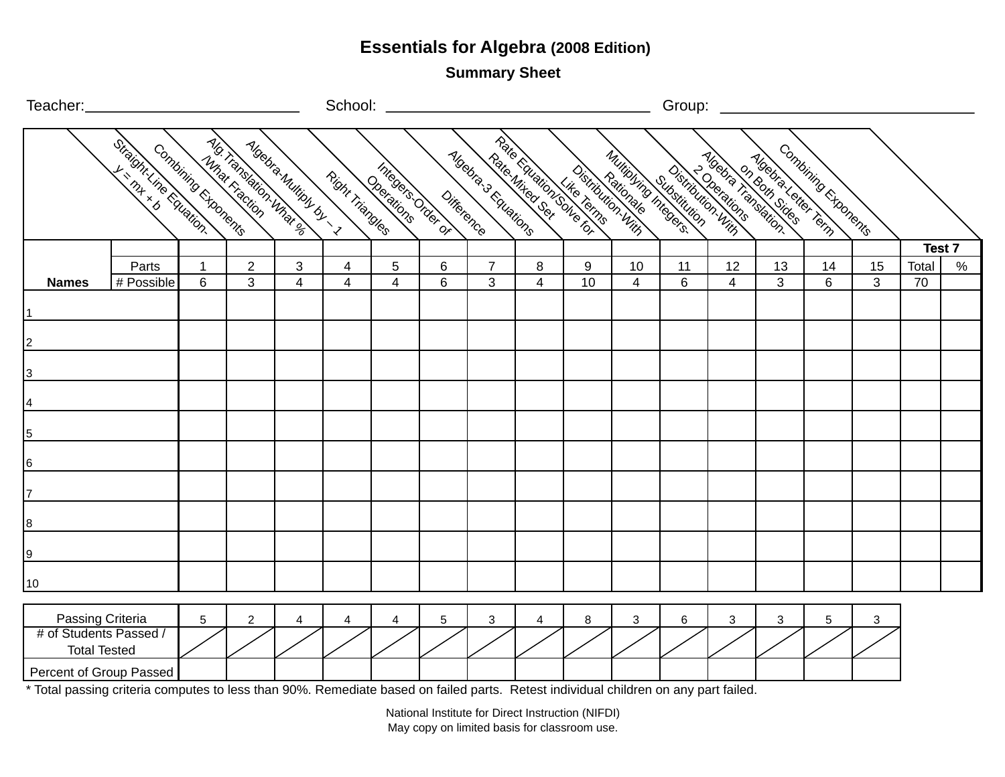**Summary Sheet**

| Teacher:_                                                         |                         |                     |                |                                                 |                 | School: ________        |                                      |                     |                                             |                   |                      | Group:                             |                   |                                           |                     |         |             |      |
|-------------------------------------------------------------------|-------------------------|---------------------|----------------|-------------------------------------------------|-----------------|-------------------------|--------------------------------------|---------------------|---------------------------------------------|-------------------|----------------------|------------------------------------|-------------------|-------------------------------------------|---------------------|---------|-------------|------|
|                                                                   | Straight ine coulation. | Combining Exponents | Mmar Fraction  | Mo. Translation What all<br>Algebra Multiply by | Right Triangles | Dociations              | Integers of Department<br>Difference | Algebra 3 Equations | Rate Equation Like Terms<br>Pate 1/1ted 06d | Distribution With | Multipling Integers. | Distribution, With<br>Substitution | <b>PORTALISTS</b> | Magna Si de Handura<br>Moetra Letter Temp | Combining Exponents |         |             |      |
|                                                                   |                         |                     |                |                                                 |                 |                         |                                      |                     |                                             |                   |                      |                                    |                   |                                           |                     |         | Test 7      |      |
|                                                                   | Parts                   | $\mathbf 1$         | $\overline{2}$ | 3                                               | 4               | 5                       | 6<br>$6\phantom{1}$                  | $\overline{7}$      | 8                                           | 9<br>10           | 10                   | 11                                 | 12                | 13                                        | 14                  | 15<br>3 | Total<br>70 | $\%$ |
| <b>Names</b><br>$\vert$ 1                                         | # Possible              | 6                   | 3              | $\overline{4}$                                  | 4               | $\overline{4}$          |                                      | 3                   | $\overline{4}$                              |                   | $\overline{4}$       | 6                                  | $\overline{4}$    | 3                                         | 6                   |         |             |      |
| $\overline{\mathsf{2}}$                                           |                         |                     |                |                                                 |                 |                         |                                      |                     |                                             |                   |                      |                                    |                   |                                           |                     |         |             |      |
| <u> 3</u>                                                         |                         |                     |                |                                                 |                 |                         |                                      |                     |                                             |                   |                      |                                    |                   |                                           |                     |         |             |      |
| $\overline{4}$                                                    |                         |                     |                |                                                 |                 |                         |                                      |                     |                                             |                   |                      |                                    |                   |                                           |                     |         |             |      |
| $\overline{5}$                                                    |                         |                     |                |                                                 |                 |                         |                                      |                     |                                             |                   |                      |                                    |                   |                                           |                     |         |             |      |
| 6                                                                 |                         |                     |                |                                                 |                 |                         |                                      |                     |                                             |                   |                      |                                    |                   |                                           |                     |         |             |      |
| $\overline{7}$                                                    |                         |                     |                |                                                 |                 |                         |                                      |                     |                                             |                   |                      |                                    |                   |                                           |                     |         |             |      |
| <u> 8</u>                                                         |                         |                     |                |                                                 |                 |                         |                                      |                     |                                             |                   |                      |                                    |                   |                                           |                     |         |             |      |
| <u>lə</u>                                                         |                         |                     |                |                                                 |                 |                         |                                      |                     |                                             |                   |                      |                                    |                   |                                           |                     |         |             |      |
| 10                                                                |                         |                     |                |                                                 |                 |                         |                                      |                     |                                             |                   |                      |                                    |                   |                                           |                     |         |             |      |
| Passing Criteria<br># of Students Passed /<br><b>Total Tested</b> |                         | 5                   | $\overline{2}$ | 4                                               | 4               | $\overline{\mathbf{4}}$ | $\overline{5}$                       | 3                   | $\overline{4}$                              | $\bf 8$           | 3                    | 6                                  | 3                 | 3                                         | 5                   | 3       |             |      |
| Percent of Group Passed                                           |                         |                     |                |                                                 |                 |                         |                                      |                     |                                             |                   |                      |                                    |                   |                                           |                     |         |             |      |

\* Total passing criteria computes to less than 90%. Remediate based on failed parts. Retest individual children on any part failed.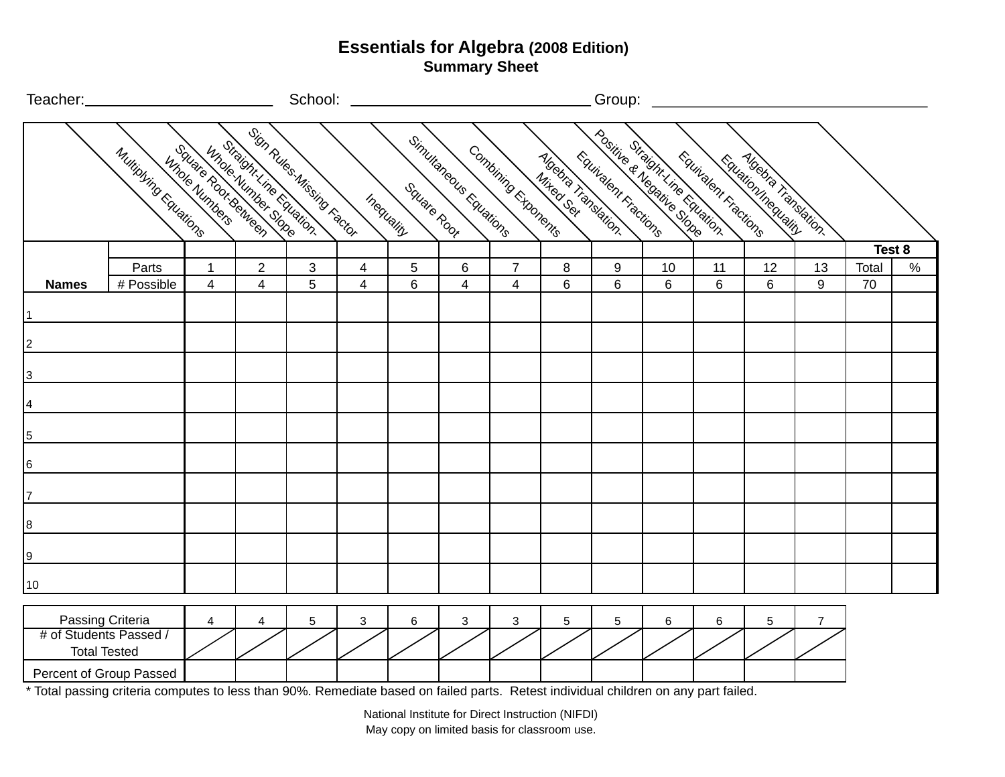| Teacher:_                                                         |                       |                         | School:                                                                 |                   |        |                           |                           |                                  | Group:                                  |                           |                              |                      |                                                        |                |             |        |
|-------------------------------------------------------------------|-----------------------|-------------------------|-------------------------------------------------------------------------|-------------------|--------|---------------------------|---------------------------|----------------------------------|-----------------------------------------|---------------------------|------------------------------|----------------------|--------------------------------------------------------|----------------|-------------|--------|
|                                                                   | Multiplying Equations | Innote Numbers          | ISign Rules Missing Factor<br>Information Charing<br>Square Rot.Between |                   |        | Square Root<br>Inequality | Simultaneous Equations    | Combining Exponents              | <b>Algebra Tanslation.</b><br>Mixed Sex | Equivalent Fractions      | Positive di Meditine Chation | Equitalent Fractions | <b>Algebra Tansation.</b><br><b>Equation mequality</b> |                |             |        |
|                                                                   |                       |                         |                                                                         |                   |        |                           |                           |                                  |                                         |                           |                              |                      |                                                        |                |             | Test 8 |
| <b>Names</b>                                                      | Parts<br># Possible   | 1<br>4                  | $\overline{2}$<br>4                                                     | $\mathbf{3}$<br>5 | 4<br>4 | 5<br>6                    | $\,6\,$<br>$\overline{4}$ | $\overline{7}$<br>$\overline{4}$ | $\, 8$<br>$\,6$                         | $\boldsymbol{9}$<br>$\,6$ | 10<br>6                      | 11<br>6              | 12<br>6                                                | 13<br>9        | Total<br>70 | $\%$   |
| 1                                                                 |                       |                         |                                                                         |                   |        |                           |                           |                                  |                                         |                           |                              |                      |                                                        |                |             |        |
| $\overline{2}$                                                    |                       |                         |                                                                         |                   |        |                           |                           |                                  |                                         |                           |                              |                      |                                                        |                |             |        |
| 3                                                                 |                       |                         |                                                                         |                   |        |                           |                           |                                  |                                         |                           |                              |                      |                                                        |                |             |        |
| 4                                                                 |                       |                         |                                                                         |                   |        |                           |                           |                                  |                                         |                           |                              |                      |                                                        |                |             |        |
| 5                                                                 |                       |                         |                                                                         |                   |        |                           |                           |                                  |                                         |                           |                              |                      |                                                        |                |             |        |
| 6                                                                 |                       |                         |                                                                         |                   |        |                           |                           |                                  |                                         |                           |                              |                      |                                                        |                |             |        |
| $\overline{7}$                                                    |                       |                         |                                                                         |                   |        |                           |                           |                                  |                                         |                           |                              |                      |                                                        |                |             |        |
| 8                                                                 |                       |                         |                                                                         |                   |        |                           |                           |                                  |                                         |                           |                              |                      |                                                        |                |             |        |
| 9                                                                 |                       |                         |                                                                         |                   |        |                           |                           |                                  |                                         |                           |                              |                      |                                                        |                |             |        |
| 10                                                                |                       |                         |                                                                         |                   |        |                           |                           |                                  |                                         |                           |                              |                      |                                                        |                |             |        |
| Passing Criteria<br># of Students Passed /<br><b>Total Tested</b> |                       | $\overline{\mathbf{4}}$ | $\overline{4}$                                                          | 5                 | 3      | $\,6$                     | $\mathbf{3}$              | 3                                | $\sqrt{5}$                              | 5                         | 6                            | 6                    | $\sqrt{5}$                                             | $\overline{7}$ |             |        |
| Percent of Group Passed                                           |                       |                         |                                                                         |                   |        |                           |                           |                                  |                                         |                           |                              |                      |                                                        |                |             |        |

\* Total passing criteria computes to less than 90%. Remediate based on failed parts. Retest individual children on any part failed.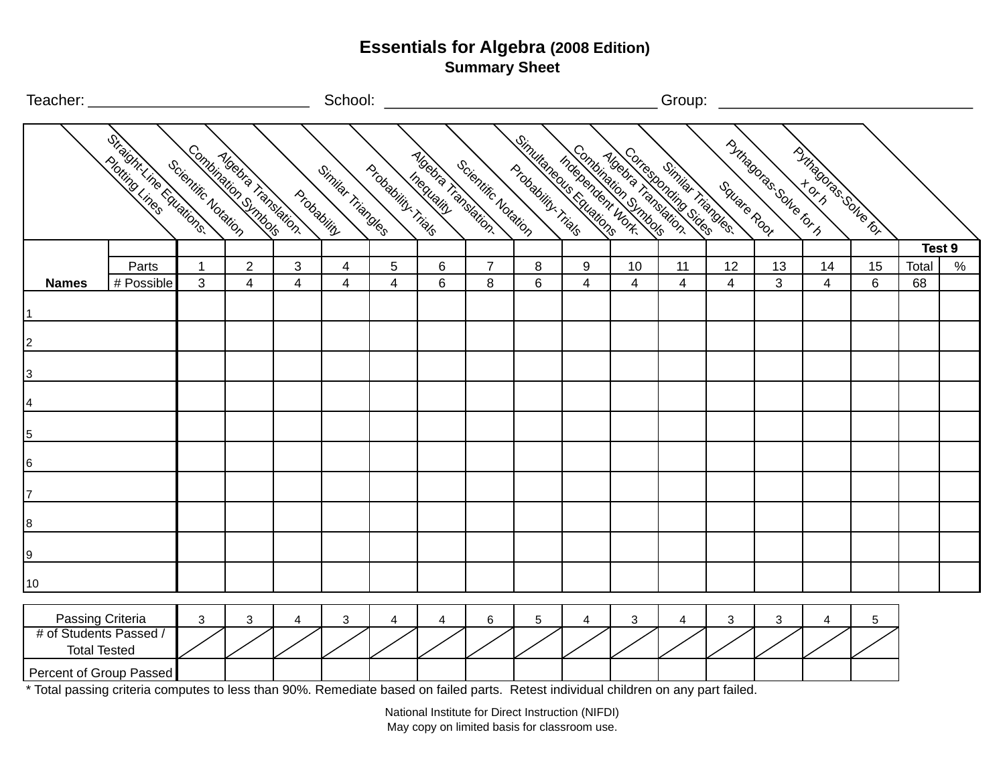| Teacher: _     |                     |                         |                                            |                     |                                          | School:           |                                   |                |                                                |                                              |        |         |                                             |             | Group: $\qquad \qquad$    |                        |         |             |        |
|----------------|---------------------|-------------------------|--------------------------------------------|---------------------|------------------------------------------|-------------------|-----------------------------------|----------------|------------------------------------------------|----------------------------------------------|--------|---------|---------------------------------------------|-------------|---------------------------|------------------------|---------|-------------|--------|
|                |                     | Straint Line Foundings  | Combination Simbols<br>Scientific Notation |                     | <b>Algebra Tansation.</b><br>Probability | Similar Triangles | Probability. Trials               | Inequality     | <b>Algebra Tansain)</b><br>Scientific Notation | Simulanes is reducing<br>Probability, Trials |        |         | mandal Creation Stranger<br>Sinilar Tangles | Square Root | PJHzagoras.solle_for.html | PO TIRGOCIAS SON TO TO |         |             |        |
|                |                     |                         |                                            |                     |                                          |                   |                                   |                |                                                |                                              |        |         |                                             |             |                           |                        |         |             | Test 9 |
|                | <b>Names</b>        | Parts<br># Possible     | 1<br>3                                     | $\overline{2}$<br>4 | $\mathbf{3}$<br>$\overline{4}$           | 4<br>4            | $5\overline{)}$<br>$\overline{4}$ | 6<br>6         | $\overline{7}$<br>8                            | 8<br>$\,6\,$                                 | 9<br>4 | 10<br>4 | 11<br>$\overline{4}$                        | 12<br>4     | 13<br>$\mathbf{3}$        | 14<br>$\overline{4}$   | 15<br>6 | Total<br>68 | $\%$   |
|                |                     |                         |                                            |                     |                                          |                   |                                   |                |                                                |                                              |        |         |                                             |             |                           |                        |         |             |        |
|                |                     |                         |                                            |                     |                                          |                   |                                   |                |                                                |                                              |        |         |                                             |             |                           |                        |         |             |        |
| $\overline{2}$ |                     |                         |                                            |                     |                                          |                   |                                   |                |                                                |                                              |        |         |                                             |             |                           |                        |         |             |        |
|                |                     |                         |                                            |                     |                                          |                   |                                   |                |                                                |                                              |        |         |                                             |             |                           |                        |         |             |        |
| 3              |                     |                         |                                            |                     |                                          |                   |                                   |                |                                                |                                              |        |         |                                             |             |                           |                        |         |             |        |
| 4              |                     |                         |                                            |                     |                                          |                   |                                   |                |                                                |                                              |        |         |                                             |             |                           |                        |         |             |        |
|                |                     |                         |                                            |                     |                                          |                   |                                   |                |                                                |                                              |        |         |                                             |             |                           |                        |         |             |        |
| $\overline{5}$ |                     |                         |                                            |                     |                                          |                   |                                   |                |                                                |                                              |        |         |                                             |             |                           |                        |         |             |        |
| 6              |                     |                         |                                            |                     |                                          |                   |                                   |                |                                                |                                              |        |         |                                             |             |                           |                        |         |             |        |
| 7              |                     |                         |                                            |                     |                                          |                   |                                   |                |                                                |                                              |        |         |                                             |             |                           |                        |         |             |        |
|                |                     |                         |                                            |                     |                                          |                   |                                   |                |                                                |                                              |        |         |                                             |             |                           |                        |         |             |        |
| 8              |                     |                         |                                            |                     |                                          |                   |                                   |                |                                                |                                              |        |         |                                             |             |                           |                        |         |             |        |
| 9              |                     |                         |                                            |                     |                                          |                   |                                   |                |                                                |                                              |        |         |                                             |             |                           |                        |         |             |        |
|                |                     |                         |                                            |                     |                                          |                   |                                   |                |                                                |                                              |        |         |                                             |             |                           |                        |         |             |        |
| 10             |                     |                         |                                            |                     |                                          |                   |                                   |                |                                                |                                              |        |         |                                             |             |                           |                        |         |             |        |
|                | Passing Criteria    |                         | $\mathbf{3}$                               | 3                   | $\overline{4}$                           | $\mathbf{3}$      | 4                                 | $\overline{4}$ | 6                                              | 5                                            | 4      | 3       | $\overline{4}$                              | 3           | 3                         | 4                      | 5       |             |        |
|                |                     | # of Students Passed /  |                                            |                     |                                          |                   |                                   |                |                                                |                                              |        |         |                                             |             |                           |                        |         |             |        |
|                | <b>Total Tested</b> |                         |                                            |                     |                                          |                   |                                   |                |                                                |                                              |        |         |                                             |             |                           |                        |         |             |        |
|                |                     | Percent of Group Passed |                                            |                     |                                          |                   |                                   |                |                                                |                                              |        |         |                                             |             |                           |                        |         |             |        |

\* Total passing criteria computes to less than 90%. Remediate based on failed parts. Retest individual children on any part failed.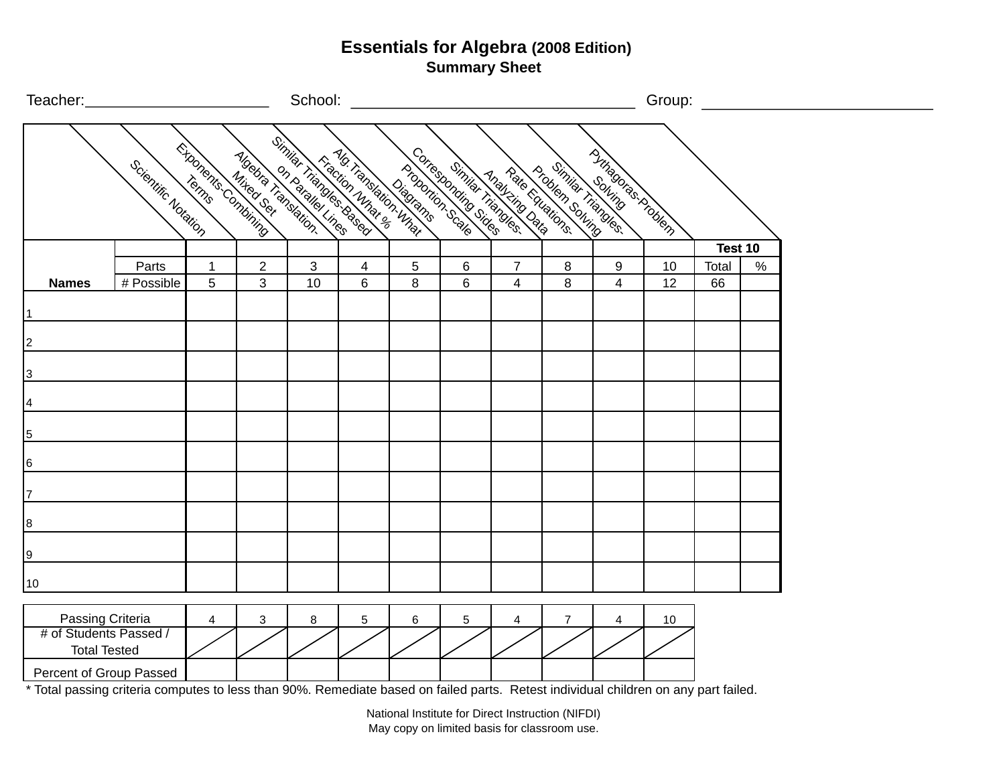| Teacher:_               |                     |   |                     |    | School: <u>www.community.com</u>                                                                                                                                                                                                |   |                                    |                                  |                |                            | Group:   |             |      |  |
|-------------------------|---------------------|---|---------------------|----|---------------------------------------------------------------------------------------------------------------------------------------------------------------------------------------------------------------------------------|---|------------------------------------|----------------------------------|----------------|----------------------------|----------|-------------|------|--|
|                         | Scientific Notation |   | Exponents.combining |    | Mites Computer du San Computer du San Computer du San Computer du San Computer du San Computer du San Computer<br>Computer du San Computer du San Computer du San Computer du San Computer du San Computer du San Computer du S |   |                                    |                                  |                | P Time B ( To C A TO MORT) |          |             |      |  |
|                         |                     |   |                     |    |                                                                                                                                                                                                                                 |   |                                    |                                  |                |                            |          | Test 10     |      |  |
| <b>Names</b>            | Parts<br># Possible | 5 | 3                   | 10 | $\,6$                                                                                                                                                                                                                           | 8 | $6\phantom{1}6$<br>$6\phantom{1}6$ | $\overline{7}$<br>$\overline{4}$ | 8<br>8         | 9<br>$\overline{4}$        | 10<br>12 | Total<br>66 | $\%$ |  |
|                         |                     |   |                     |    |                                                                                                                                                                                                                                 |   |                                    |                                  |                |                            |          |             |      |  |
| $\vert$ 1               |                     |   |                     |    |                                                                                                                                                                                                                                 |   |                                    |                                  |                |                            |          |             |      |  |
|                         |                     |   |                     |    |                                                                                                                                                                                                                                 |   |                                    |                                  |                |                            |          |             |      |  |
| 2                       |                     |   |                     |    |                                                                                                                                                                                                                                 |   |                                    |                                  |                |                            |          |             |      |  |
| 3                       |                     |   |                     |    |                                                                                                                                                                                                                                 |   |                                    |                                  |                |                            |          |             |      |  |
|                         |                     |   |                     |    |                                                                                                                                                                                                                                 |   |                                    |                                  |                |                            |          |             |      |  |
| 4                       |                     |   |                     |    |                                                                                                                                                                                                                                 |   |                                    |                                  |                |                            |          |             |      |  |
| $\overline{5}$          |                     |   |                     |    |                                                                                                                                                                                                                                 |   |                                    |                                  |                |                            |          |             |      |  |
|                         |                     |   |                     |    |                                                                                                                                                                                                                                 |   |                                    |                                  |                |                            |          |             |      |  |
| 6                       |                     |   |                     |    |                                                                                                                                                                                                                                 |   |                                    |                                  |                |                            |          |             |      |  |
| 17                      |                     |   |                     |    |                                                                                                                                                                                                                                 |   |                                    |                                  |                |                            |          |             |      |  |
|                         |                     |   |                     |    |                                                                                                                                                                                                                                 |   |                                    |                                  |                |                            |          |             |      |  |
| 8                       |                     |   |                     |    |                                                                                                                                                                                                                                 |   |                                    |                                  |                |                            |          |             |      |  |
|                         |                     |   |                     |    |                                                                                                                                                                                                                                 |   |                                    |                                  |                |                            |          |             |      |  |
| 9                       |                     |   |                     |    |                                                                                                                                                                                                                                 |   |                                    |                                  |                |                            |          |             |      |  |
| 10                      |                     |   |                     |    |                                                                                                                                                                                                                                 |   |                                    |                                  |                |                            |          |             |      |  |
|                         |                     |   |                     |    |                                                                                                                                                                                                                                 |   |                                    |                                  |                |                            |          |             |      |  |
| Passing Criteria        |                     | 4 | 3                   | 8  | $\sqrt{5}$                                                                                                                                                                                                                      | 6 | $\mathbf 5$                        | $\overline{4}$                   | $\overline{7}$ | 4                          | 10       |             |      |  |
| # of Students Passed /  |                     |   |                     |    |                                                                                                                                                                                                                                 |   |                                    |                                  |                |                            |          |             |      |  |
| <b>Total Tested</b>     |                     |   |                     |    |                                                                                                                                                                                                                                 |   |                                    |                                  |                |                            |          |             |      |  |
| Percent of Group Passed |                     |   |                     |    |                                                                                                                                                                                                                                 |   |                                    |                                  |                |                            |          |             |      |  |

\* Total passing criteria computes to less than 90%. Remediate based on failed parts. Retest individual children on any part failed.